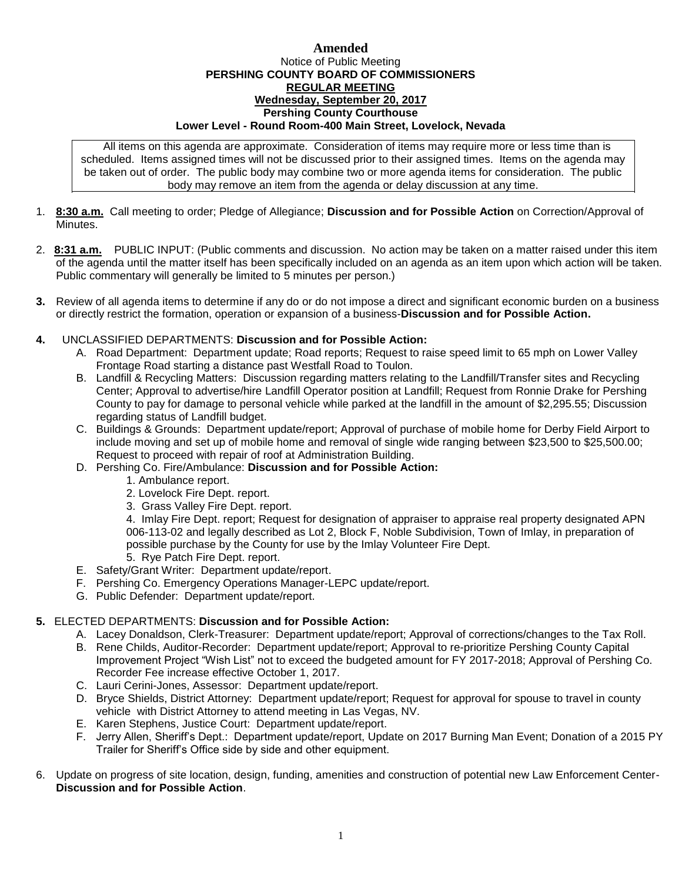## **Amended** Notice of Public Meeting **PERSHING COUNTY BOARD OF COMMISSIONERS REGULAR MEETING Wednesday, September 20, 2017 Pershing County Courthouse Lower Level - Round Room-400 Main Street, Lovelock, Nevada**

All items on this agenda are approximate. Consideration of items may require more or less time than is scheduled. Items assigned times will not be discussed prior to their assigned times. Items on the agenda may be taken out of order. The public body may combine two or more agenda items for consideration. The public body may remove an item from the agenda or delay discussion at any time.

- 1. **8:30 a.m.** Call meeting to order; Pledge of Allegiance; **Discussion and for Possible Action** on Correction/Approval of **Minutes**
- 2. **8:31 a.m.** PUBLIC INPUT: (Public comments and discussion. No action may be taken on a matter raised under this item of the agenda until the matter itself has been specifically included on an agenda as an item upon which action will be taken. Public commentary will generally be limited to 5 minutes per person.)
- **3.** Review of all agenda items to determine if any do or do not impose a direct and significant economic burden on a business or directly restrict the formation, operation or expansion of a business-**Discussion and for Possible Action.**
- **4.** UNCLASSIFIED DEPARTMENTS: **Discussion and for Possible Action:**
	- A. Road Department: Department update; Road reports; Request to raise speed limit to 65 mph on Lower Valley Frontage Road starting a distance past Westfall Road to Toulon.
	- B. Landfill & Recycling Matters: Discussion regarding matters relating to the Landfill/Transfer sites and Recycling Center; Approval to advertise/hire Landfill Operator position at Landfill; Request from Ronnie Drake for Pershing County to pay for damage to personal vehicle while parked at the landfill in the amount of \$2,295.55; Discussion regarding status of Landfill budget.
	- C. Buildings & Grounds: Department update/report; Approval of purchase of mobile home for Derby Field Airport to include moving and set up of mobile home and removal of single wide ranging between \$23,500 to \$25,500.00; Request to proceed with repair of roof at Administration Building.
	- D. Pershing Co. Fire/Ambulance: **Discussion and for Possible Action:**
		- 1. Ambulance report.
		- 2. Lovelock Fire Dept. report.
		- 3. Grass Valley Fire Dept. report.

4. Imlay Fire Dept. report; Request for designation of appraiser to appraise real property designated APN 006-113-02 and legally described as Lot 2, Block F, Noble Subdivision, Town of Imlay, in preparation of possible purchase by the County for use by the Imlay Volunteer Fire Dept.

- 5. Rye Patch Fire Dept. report.
- E. Safety/Grant Writer: Department update/report.
- F. Pershing Co. Emergency Operations Manager-LEPC update/report.
- G. Public Defender: Department update/report.

## **5.** ELECTED DEPARTMENTS: **Discussion and for Possible Action:**

- A. Lacey Donaldson, Clerk-Treasurer: Department update/report; Approval of corrections/changes to the Tax Roll.
- B. Rene Childs, Auditor-Recorder: Department update/report; Approval to re-prioritize Pershing County Capital Improvement Project "Wish List" not to exceed the budgeted amount for FY 2017-2018; Approval of Pershing Co. Recorder Fee increase effective October 1, 2017.
- C. Lauri Cerini-Jones, Assessor: Department update/report.
- D. Bryce Shields, District Attorney: Department update/report; Request for approval for spouse to travel in county vehicle with District Attorney to attend meeting in Las Vegas, NV.
- E. Karen Stephens, Justice Court: Department update/report.
- F. Jerry Allen, Sheriff's Dept.: Department update/report, Update on 2017 Burning Man Event; Donation of a 2015 PY Trailer for Sheriff's Office side by side and other equipment.
- 6. Update on progress of site location, design, funding, amenities and construction of potential new Law Enforcement Center-**Discussion and for Possible Action**.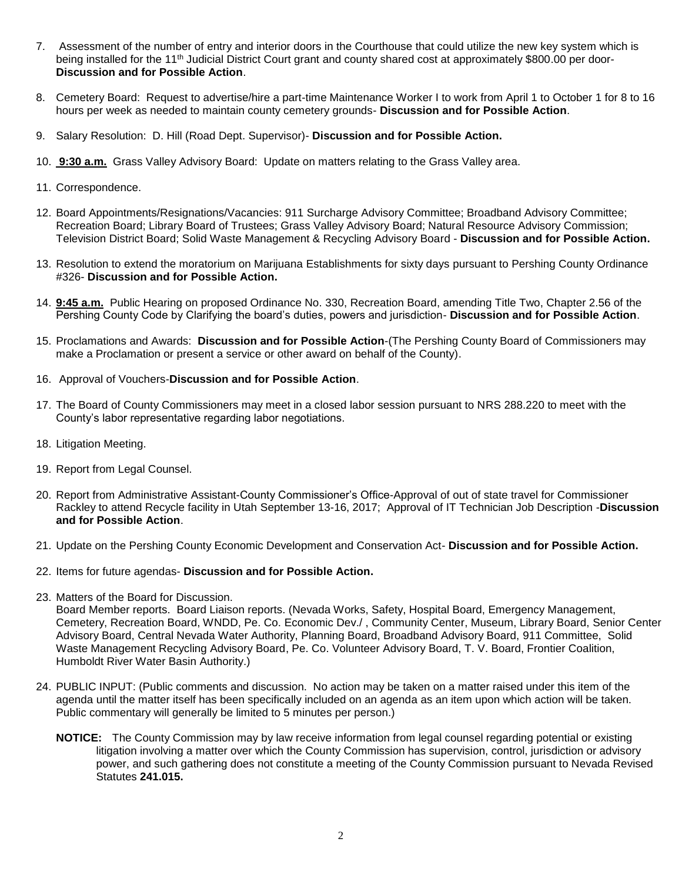- 7. Assessment of the number of entry and interior doors in the Courthouse that could utilize the new key system which is being installed for the 11th Judicial District Court grant and county shared cost at approximately \$800.00 per door-**Discussion and for Possible Action**.
- 8. Cemetery Board: Request to advertise/hire a part-time Maintenance Worker I to work from April 1 to October 1 for 8 to 16 hours per week as needed to maintain county cemetery grounds- **Discussion and for Possible Action**.
- 9. Salary Resolution: D. Hill (Road Dept. Supervisor)- **Discussion and for Possible Action.**
- 10. **9:30 a.m.** Grass Valley Advisory Board: Update on matters relating to the Grass Valley area.
- 11. Correspondence.
- 12. Board Appointments/Resignations/Vacancies: 911 Surcharge Advisory Committee; Broadband Advisory Committee; Recreation Board; Library Board of Trustees; Grass Valley Advisory Board; Natural Resource Advisory Commission; Television District Board; Solid Waste Management & Recycling Advisory Board - **Discussion and for Possible Action.**
- 13. Resolution to extend the moratorium on Marijuana Establishments for sixty days pursuant to Pershing County Ordinance #326- **Discussion and for Possible Action.**
- 14. **9:45 a.m.** Public Hearing on proposed Ordinance No. 330, Recreation Board, amending Title Two, Chapter 2.56 of the Pershing County Code by Clarifying the board's duties, powers and jurisdiction- **Discussion and for Possible Action**.
- 15. Proclamations and Awards: **Discussion and for Possible Action**-(The Pershing County Board of Commissioners may make a Proclamation or present a service or other award on behalf of the County).
- 16. Approval of Vouchers-**Discussion and for Possible Action**.
- 17. The Board of County Commissioners may meet in a closed labor session pursuant to NRS 288.220 to meet with the County's labor representative regarding labor negotiations.
- 18. Litigation Meeting.
- 19. Report from Legal Counsel.
- 20. Report from Administrative Assistant-County Commissioner's Office-Approval of out of state travel for Commissioner Rackley to attend Recycle facility in Utah September 13-16, 2017; Approval of IT Technician Job Description -**Discussion and for Possible Action**.
- 21. Update on the Pershing County Economic Development and Conservation Act- **Discussion and for Possible Action.**
- 22. Items for future agendas- **Discussion and for Possible Action.**
- 23. Matters of the Board for Discussion.

Board Member reports. Board Liaison reports. (Nevada Works, Safety, Hospital Board, Emergency Management, Cemetery, Recreation Board, WNDD, Pe. Co. Economic Dev./ , Community Center, Museum, Library Board, Senior Center Advisory Board, Central Nevada Water Authority, Planning Board, Broadband Advisory Board, 911 Committee, Solid Waste Management Recycling Advisory Board, Pe. Co. Volunteer Advisory Board, T. V. Board, Frontier Coalition, Humboldt River Water Basin Authority.)

- 24. PUBLIC INPUT: (Public comments and discussion. No action may be taken on a matter raised under this item of the agenda until the matter itself has been specifically included on an agenda as an item upon which action will be taken. Public commentary will generally be limited to 5 minutes per person.)
	- **NOTICE:** The County Commission may by law receive information from legal counsel regarding potential or existing litigation involving a matter over which the County Commission has supervision, control, jurisdiction or advisory power, and such gathering does not constitute a meeting of the County Commission pursuant to Nevada Revised Statutes **241.015.**